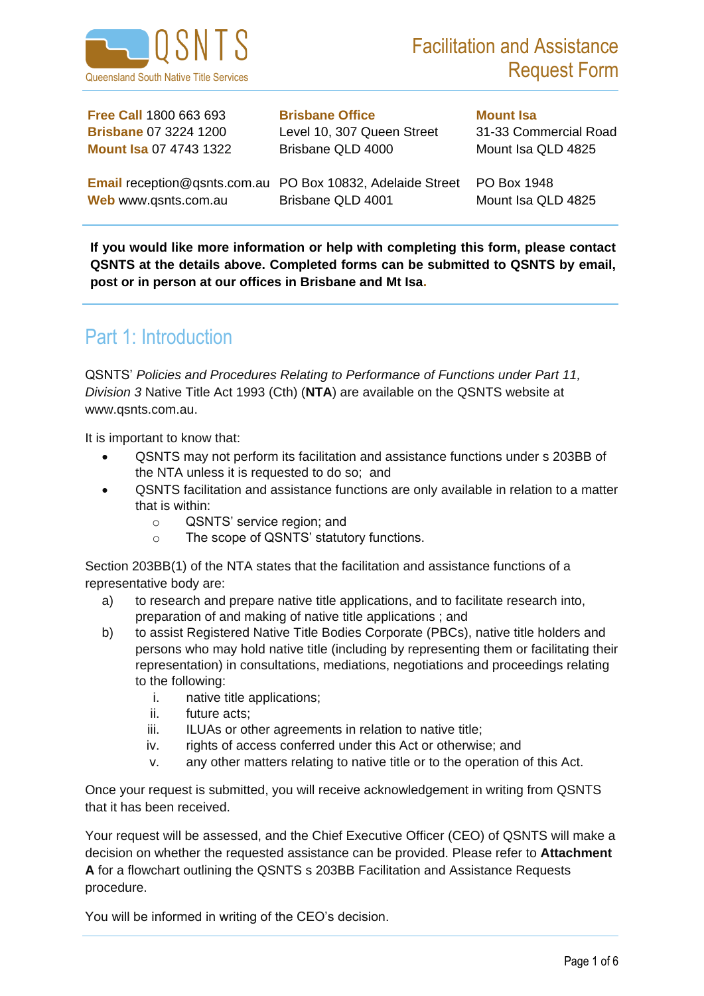

**Free Call** 1800 663 693 **Brisbane Office Mount Isa Brisbane** 07 3224 1200 Level 10, 307 Queen Street 31-33 Commercial Road **Mount Isa 07 4743 1322 Brisbane QLD 4000 Mount Isa QLD 4825** 

Web www.qsnts.com.au Brisbane QLD 4001 Mount Isa QLD 4825

**Email** reception@qsnts.com.au PO Box 10832, Adelaide Street PO Box 1948

**If you would like more information or help with completing this form, please contact QSNTS at the details above. Completed forms can be submitted to QSNTS by email, post or in person at our offices in Brisbane and Mt Isa.**

## Part 1: Introduction

QSNTS' *Policies and Procedures Relating to Performance of Functions under Part 11, Division 3* Native Title Act 1993 (Cth) (**NTA**) are available on the QSNTS website at www.qsnts.com.au.

It is important to know that:

- QSNTS may not perform its facilitation and assistance functions under s 203BB of the NTA unless it is requested to do so; and
- QSNTS facilitation and assistance functions are only available in relation to a matter that is within:
	- o QSNTS' service region; and
	- o The scope of QSNTS' statutory functions.

Section 203BB(1) of the NTA states that the facilitation and assistance functions of a representative body are:

- a) to research and prepare native title applications, and to facilitate research into, preparation of and making of native title applications ; and
- b) to assist Registered Native Title Bodies Corporate (PBCs), native title holders and persons who may hold native title (including by representing them or facilitating their representation) in consultations, mediations, negotiations and proceedings relating to the following:
	- i. native title applications;
	- ii. future acts;
	- iii. ILUAs or other agreements in relation to native title;
	- iv. rights of access conferred under this Act or otherwise; and
	- v. any other matters relating to native title or to the operation of this Act.

Once your request is submitted, you will receive acknowledgement in writing from QSNTS that it has been received.

Your request will be assessed, and the Chief Executive Officer (CEO) of QSNTS will make a decision on whether the requested assistance can be provided. Please refer to **Attachment A** for a flowchart outlining the QSNTS s 203BB Facilitation and Assistance Requests procedure.

You will be informed in writing of the CEO's decision.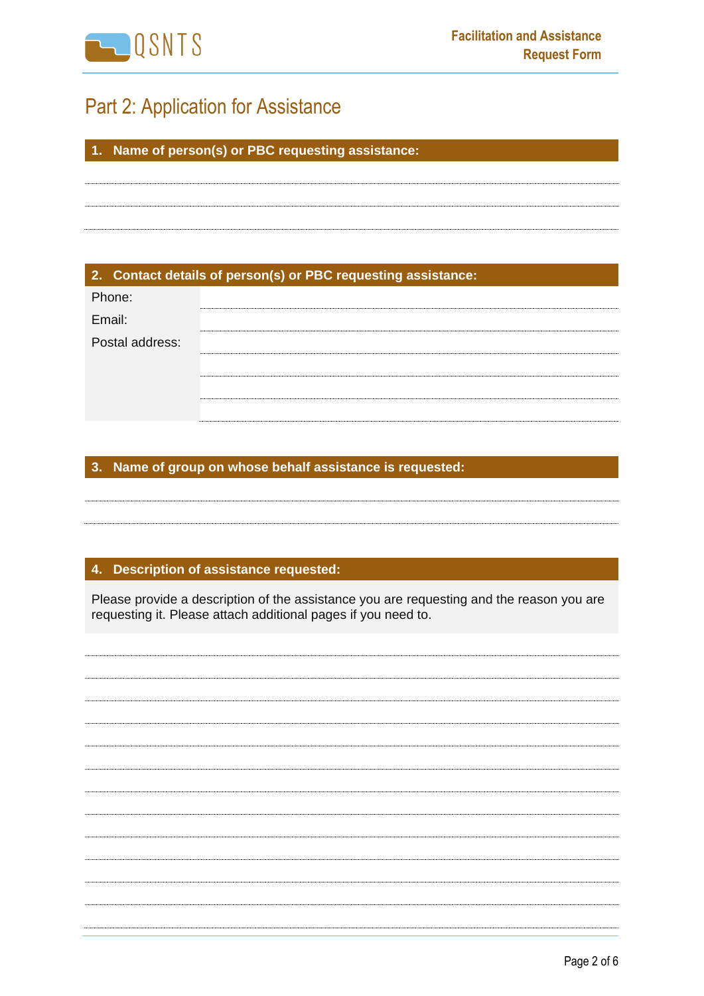

# Part 2: Application for Assistance

**1. Name of person(s) or PBC requesting assistance:**

**2. Contact details of person(s) or PBC requesting assistance:**

| Phone:          |  |
|-----------------|--|
| Email:          |  |
| Postal address: |  |
|                 |  |
|                 |  |
|                 |  |

### **3. Name of group on whose behalf assistance is requested:**

**4. Description of assistance requested:**

Please provide a description of the assistance you are requesting and the reason you are requesting it. Please attach additional pages if you need to.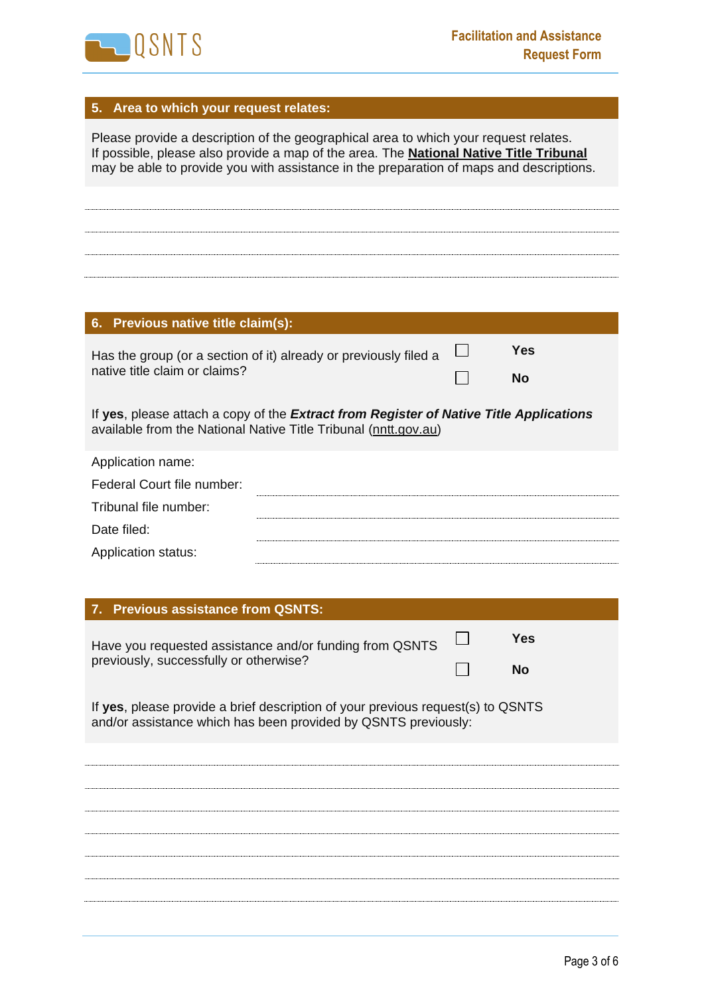

### **5. Area to which your request relates:**

Please provide a description of the geographical area to which your request relates. If possible, please also provide a map of the area. The **[National Native Title Tribunal](http://www.nntt.gov.au/assistance/Geospatial/Pages/default.aspx)** may be able to provide you with assistance in the preparation of maps and descriptions. **6. Previous native title claim(s): Yes**  $\Box$ Has the group (or a section of it) already or previously filed a native title claim or claims?  $\Box$ **No** If **yes**, please attach a copy of the *Extract from Register of Native Title Applications* available from the National Native Title Tribunal [\(nntt.gov.au\)](http://www.nntt.gov.au/Pages/Home-Page.aspx) Application name: Federal Court file number: Tribunal file number: Date filed: Application status:

#### **7. Previous assistance from QSNTS:**

| Have you requested assistance and/or funding from QSNTS<br>previously, successfully or otherwise?                                                 |  | Yes       |  |  |  |
|---------------------------------------------------------------------------------------------------------------------------------------------------|--|-----------|--|--|--|
|                                                                                                                                                   |  | <b>No</b> |  |  |  |
| If yes, please provide a brief description of your previous request(s) to QSNTS<br>and/or assistance which has been provided by QSNTS previously: |  |           |  |  |  |
|                                                                                                                                                   |  |           |  |  |  |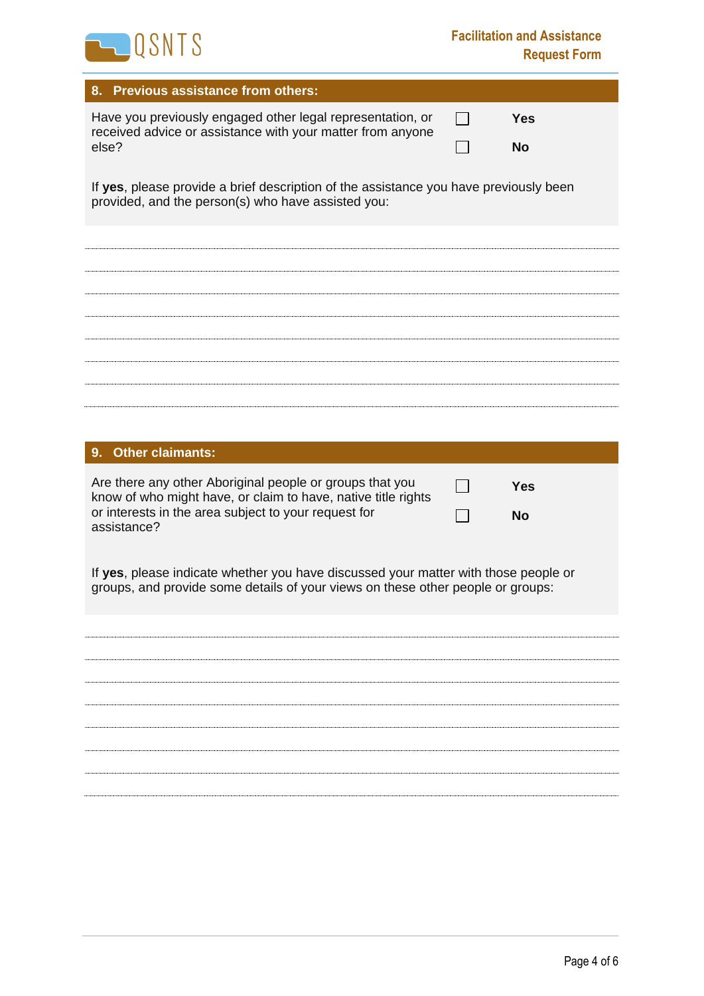

| 8. Previous assistance from others:                                                                                                                                    |  |            |  |  |
|------------------------------------------------------------------------------------------------------------------------------------------------------------------------|--|------------|--|--|
| Have you previously engaged other legal representation, or<br>received advice or assistance with your matter from anyone                                               |  | <b>Yes</b> |  |  |
| else?                                                                                                                                                                  |  | No         |  |  |
| If yes, please provide a brief description of the assistance you have previously been<br>provided, and the person(s) who have assisted you:                            |  |            |  |  |
|                                                                                                                                                                        |  |            |  |  |
|                                                                                                                                                                        |  |            |  |  |
|                                                                                                                                                                        |  |            |  |  |
|                                                                                                                                                                        |  |            |  |  |
|                                                                                                                                                                        |  |            |  |  |
|                                                                                                                                                                        |  |            |  |  |
| <b>Other claimants:</b><br>9.                                                                                                                                          |  |            |  |  |
| Are there any other Aboriginal people or groups that you<br>know of who might have, or claim to have, native title rights                                              |  | <b>Yes</b> |  |  |
| or interests in the area subject to your request for<br>assistance?                                                                                                    |  | <b>No</b>  |  |  |
| If yes, please indicate whether you have discussed your matter with those people or<br>groups, and provide some details of your views on these other people or groups: |  |            |  |  |
|                                                                                                                                                                        |  |            |  |  |
|                                                                                                                                                                        |  |            |  |  |
|                                                                                                                                                                        |  |            |  |  |
|                                                                                                                                                                        |  |            |  |  |
|                                                                                                                                                                        |  |            |  |  |
|                                                                                                                                                                        |  |            |  |  |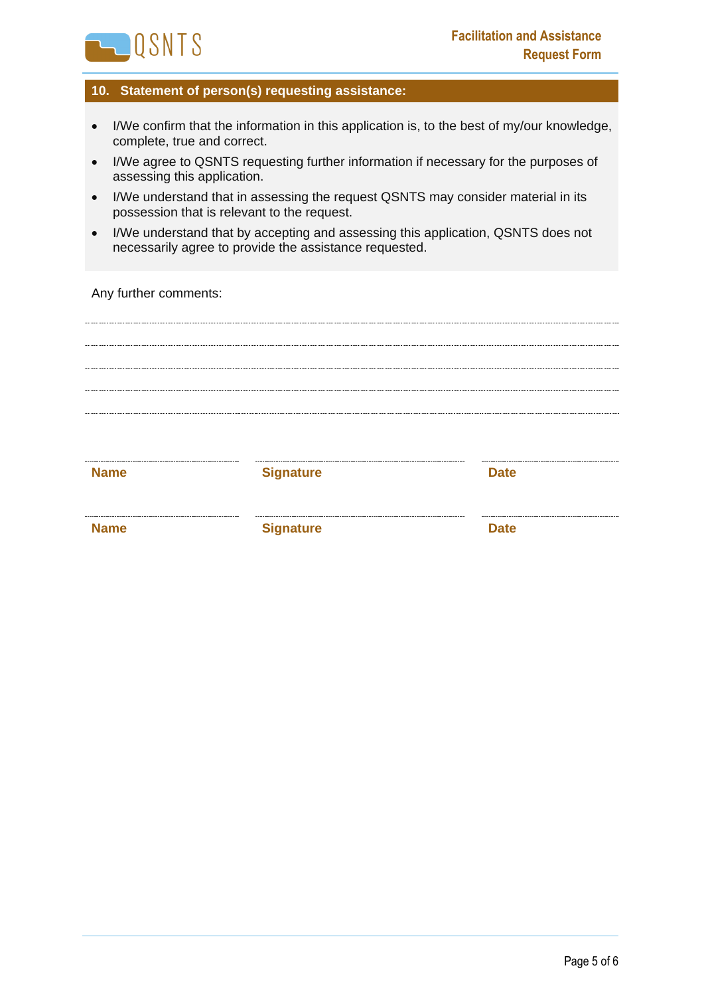

#### **10. Statement of person(s) requesting assistance:**

- I/We confirm that the information in this application is, to the best of my/our knowledge, complete, true and correct.
- I/We agree to QSNTS requesting further information if necessary for the purposes of assessing this application.
- I/We understand that in assessing the request QSNTS may consider material in its possession that is relevant to the request.
- I/We understand that by accepting and assessing this application, QSNTS does not necessarily agree to provide the assistance requested.

Any further comments:

**Name Signature Date** 

**Name Signature Date**